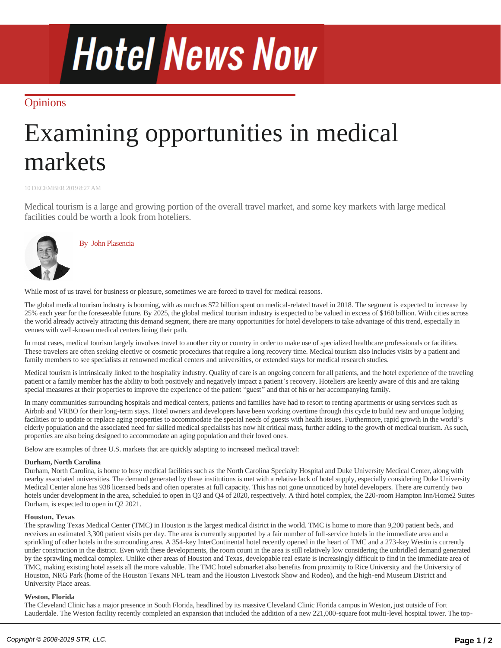# **Hotel News Now**

### **[Opinions](http://www.hotelnewsnow.com/Articles/ByCategory?category=Opinions)**

## Examining opportunities in medical markets

10 DECEMBER 2019 8:27 AM

Medical tourism is a large and growing portion of the overall travel market, and some key markets with large medical facilities could be worth a look from hoteliers.



By [John Plasencia](http://www.hotelnewsnow.com/Author/294196/John-Plasencia)

While most of us travel for business or pleasure, sometimes we are forced to travel for medical reasons.

The global medical tourism industry is booming, with as much as \$72 billion spent on medical-related travel in 2018. The segment is expected to increase by 25% each year for the foreseeable future. By 2025, the global medical tourism industry is expected to be valued in excess of \$160 billion. With cities across the world already actively attracting this demand segment, there are many opportunities for hotel developers to take advantage of this trend, especially in venues with well-known medical centers lining their path.

In most cases, medical tourism largely involves travel to another city or country in order to make use of specialized healthcare professionals or facilities. These travelers are often seeking elective or cosmetic procedures that require a long recovery time. Medical tourism also includes visits by a patient and family members to see specialists at renowned medical centers and universities, or extended stays for medical research studies.

Medical tourism is intrinsically linked to the hospitality industry. Quality of care is an ongoing concern for all patients, and the hotel experience of the traveling patient or a family member has the ability to both positively and negatively impact a patient's recovery. Hoteliers are keenly aware of this and are taking special measures at their properties to improve the experience of the patient "guest" and that of his or her accompanying family.

In many communities surrounding hospitals and medical centers, patients and families have had to resort to renting apartments or using services such as Airbnb and VRBO for their long-term stays. Hotel owners and developers have been working overtime through this cycle to build new and unique lodging facilities or to update or replace aging properties to accommodate the special needs of guests with health issues. Furthermore, rapid growth in the world's elderly population and the associated need for skilled medical specialists has now hit critical mass, further adding to the growth of medical tourism. As such, properties are also being designed to accommodate an aging population and their loved ones.

Below are examples of three U.S. markets that are quickly adapting to increased medical travel:

#### **Durham, North Carolina**

Durham, North Carolina, is home to busy medical facilities such as the North Carolina Specialty Hospital and Duke University Medical Center, along with nearby associated universities. The demand generated by these institutions is met with a relative lack of hotel supply, especially considering Duke University Medical Center alone has 938 licensed beds and often operates at full capacity. This has not gone unnoticed by hotel developers. There are currently two hotels under development in the area, scheduled to open in Q3 and Q4 of 2020, respectively. A third hotel complex, the 220-room Hampton Inn/Home2 Suites Durham, is expected to open in Q2 2021.

#### **Houston, Texas**

The sprawling Texas Medical Center (TMC) in Houston is the largest medical district in the world. TMC is home to more than 9,200 patient beds, and receives an estimated 3,300 patient visits per day. The area is currently supported by a fair number of full-service hotels in the immediate area and a sprinkling of other hotels in the surrounding area. A 354-key InterContinental hotel recently opened in the heart of TMC and a 273-key Westin is currently under construction in the district. Even with these developments, the room count in the area is still relatively low considering the unbridled demand generated by the sprawling medical complex. Unlike other areas of Houston and Texas, developable real estate is increasingly difficult to find in the immediate area of TMC, making existing hotel assets all the more valuable. The TMC hotel submarket also benefits from proximity to Rice University and the University of Houston, NRG Park (home of the Houston Texans NFL team and the Houston Livestock Show and Rodeo), and the high-end Museum District and University Place areas.

#### **Weston, Florida**

The Cleveland Clinic has a major presence in South Florida, headlined by its massive Cleveland Clinic Florida campus in Weston, just outside of Fort Lauderdale. The Weston facility recently completed an expansion that included the addition of a new 221,000-square foot multi-level hospital tower. The topranked hospital in South Florida, Cleveland Clinic Florida's occupancy typically exceeds 90%. Only three major-branded hotels are in the general area of this